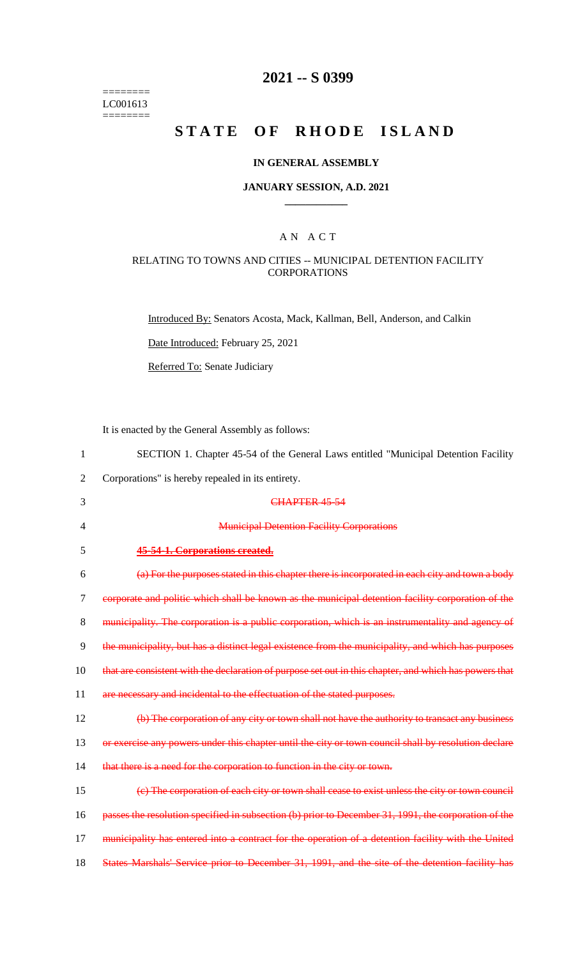======== LC001613  $=$ 

# **2021 -- S 0399**

# **STATE OF RHODE ISLAND**

# **IN GENERAL ASSEMBLY**

### **JANUARY SESSION, A.D. 2021 \_\_\_\_\_\_\_\_\_\_\_\_**

# A N A C T

### RELATING TO TOWNS AND CITIES -- MUNICIPAL DETENTION FACILITY **CORPORATIONS**

Introduced By: Senators Acosta, Mack, Kallman, Bell, Anderson, and Calkin

Date Introduced: February 25, 2021

Referred To: Senate Judiciary

It is enacted by the General Assembly as follows:

| $\mathbf{1}$   | SECTION 1. Chapter 45-54 of the General Laws entitled "Municipal Detention Facility                    |
|----------------|--------------------------------------------------------------------------------------------------------|
| $\overline{2}$ | Corporations" is hereby repealed in its entirety.                                                      |
| 3              | CHAPTER 45-54                                                                                          |
| 4              | <b>Municipal Detention Facility Corporations</b>                                                       |
| 5              | 45-54-1. Corporations created.                                                                         |
| 6              | (a) For the purposes stated in this chapter there is incorporated in each city and town a body         |
| 7              | corporate and politic which shall be known as the municipal detention facility corporation of the      |
| 8              | municipality. The corporation is a public corporation, which is an instrumentality and agency of       |
| 9              | the municipality, but has a distinct legal existence from the municipality, and which has purposes     |
| 10             | that are consistent with the declaration of purpose set out in this chapter, and which has powers that |
| 11             | are necessary and incidental to the effectuation of the stated purposes.                               |
| 12             | (b) The corporation of any city or town shall not have the authority to transact any business          |
| 13             | or exercise any powers under this chapter until the city or town council shall by resolution declare   |
| 14             | that there is a need for the corporation to function in the city or town.                              |
| 15             | (e) The corporation of each city or town shall cease to exist unless the city or town council          |
| 16             | passes the resolution specified in subsection (b) prior to December 31, 1991, the corporation of the   |
| 17             | municipality has entered into a contract for the operation of a detention facility with the United     |
| 18             | States Marshals' Service prior to December 31, 1991, and the site of the detention facility has        |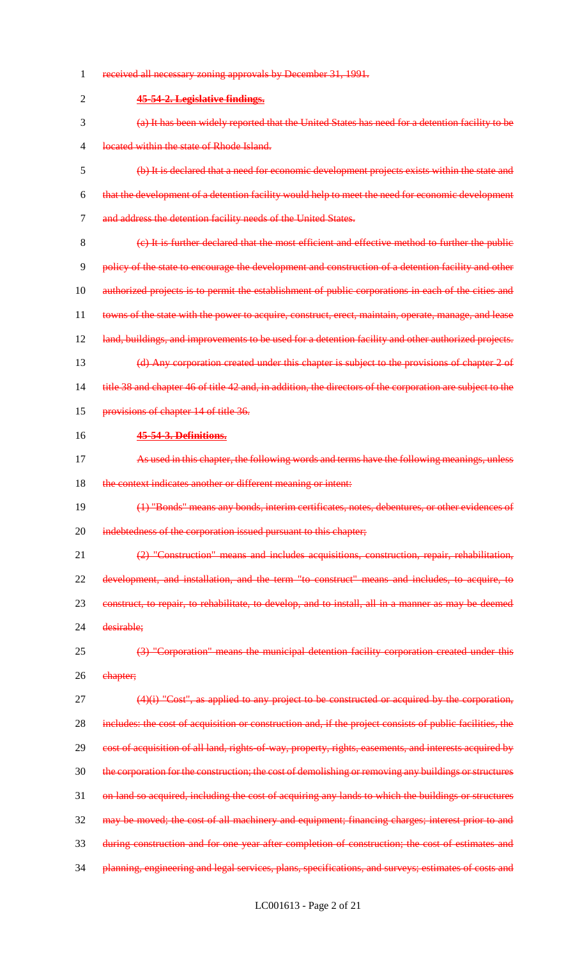| 1              | received all necessary zoning approvals by December 31, 1991.                                             |
|----------------|-----------------------------------------------------------------------------------------------------------|
| $\overline{2}$ | 45-54-2. Legislative findings.                                                                            |
| 3              | (a) It has been widely reported that the United States has need for a detention facility to be            |
| 4              | located within the state of Rhode Island.                                                                 |
| 5              | (b) It is declared that a need for economic development projects exists within the state and              |
| 6              | that the development of a detention facility would help to meet the need for economic development         |
| $\overline{7}$ | and address the detention facility needs of the United States.                                            |
| 8              | (e) It is further declared that the most efficient and effective method to further the public             |
| 9              | policy of the state to encourage the development and construction of a detention facility and other       |
| 10             | authorized projects is to permit the establishment of public corporations in each of the cities and       |
| 11             | towns of the state with the power to acquire, construct, erect, maintain, operate, manage, and lease      |
| 12             | land, buildings, and improvements to be used for a detention facility and other authorized projects.      |
| 13             | (d) Any corporation created under this chapter is subject to the provisions of chapter 2 of               |
| 14             | title 38 and chapter 46 of title 42 and, in addition, the directors of the corporation are subject to the |
| 15             | provisions of chapter 14 of title 36.                                                                     |
| 16             | 45-54-3. Definitions.                                                                                     |
| 17             | As used in this chapter, the following words and terms have the following meanings, unless                |
|                |                                                                                                           |
| 18             | the context indicates another or different meaning or intent:                                             |
| 19             | (1) "Bonds" means any bonds, interim certificates, notes, debentures, or other evidences of               |
| 20             | indebtedness of the corporation issued pursuant to this chapter;                                          |
| 21             | (2) "Construction" means and includes acquisitions, construction, repair, rehabilitation,                 |
| 22             | development, and installation, and the term "to construct" means and includes, to acquire, to             |
| 23             | construct, to repair, to rehabilitate, to develop, and to install, all in a manner as may be deemed       |
| 24             | desirable;                                                                                                |
| 25             | (3) "Corporation" means the municipal detention facility corporation created under this                   |
| 26             | ehapter;                                                                                                  |
| 27             | $(4)(i)$ "Cost", as applied to any project to be constructed or acquired by the corporation,              |
| 28             | includes: the cost of acquisition or construction and, if the project consists of public facilities, the  |
| 29             | cost of acquisition of all land, rights of way, property, rights, easements, and interests acquired by    |
| 30             | the corporation for the construction; the cost of demolishing or removing any buildings or structures     |
| 31             | on land so acquired, including the cost of acquiring any lands to which the buildings or structures       |
| 32             | may be moved; the cost of all machinery and equipment; financing charges; interest prior to and           |
| 33             | during construction and for one year after completion of construction; the cost of estimates and          |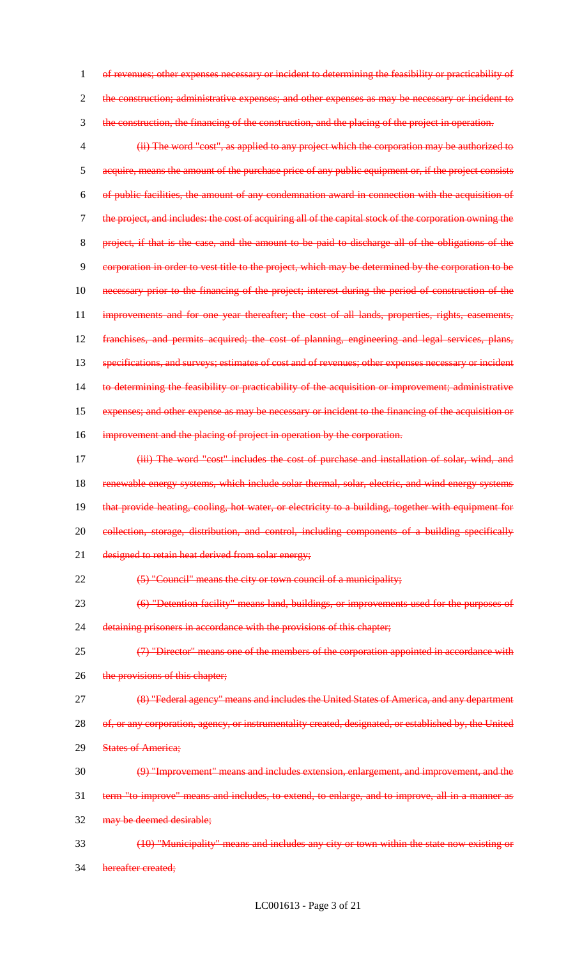1 of revenues; other expenses necessary or incident to determining the feasibility or practicability of 2 the construction; administrative expenses; and other expenses as may be necessary or incident to 3 the construction, the financing of the construction, and the placing of the project in operation. 4 (ii) The word "cost", as applied to any project which the corporation may be authorized to 5 acquire, means the amount of the purchase price of any public equipment or, if the project consists 6 of public facilities, the amount of any condemnation award in connection with the acquisition of 7 the project, and includes: the cost of acquiring all of the capital stock of the corporation owning the 8 project, if that is the case, and the amount to be paid to discharge all of the obligations of the 9 corporation in order to vest title to the project, which may be determined by the corporation to be 10 necessary prior to the financing of the project; interest during the period of construction of the 11 improvements and for one year thereafter; the cost of all lands, properties, rights, easements, 12 franchises, and permits acquired; the cost of planning, engineering and legal services, plans, 13 specifications, and surveys; estimates of cost and of revenues; other expenses necessary or incident 14 to determining the feasibility or practicability of the acquisition or improvement; administrative 15 expenses; and other expense as may be necessary or incident to the financing of the acquisition or 16 improvement and the placing of project in operation by the corporation. 17 **(iii) The word "cost" includes the cost of purchase and installation of solar, wind, and** 18 renewable energy systems, which include solar thermal, solar, electric, and wind energy systems 19 that provide heating, cooling, hot water, or electricity to a building, together with equipment for 20 collection, storage, distribution, and control, including components of a building specifically 21 designed to retain heat derived from solar energy; 22 (5) "Council" means the city or town council of a municipality; 23 (6) "Detention facility" means land, buildings, or improvements used for the purposes of 24 detaining prisoners in accordance with the provisions of this chapter; 25 (7) "Director" means one of the members of the corporation appointed in accordance with 26 the provisions of this chapter; 27 (8) "Federal agency" means and includes the United States of America, and any department 28 of, or any corporation, agency, or instrumentality created, designated, or established by, the United 29 States of America; 30 (9) "Improvement" means and includes extension, enlargement, and improvement, and the 31 term "to improve" means and includes, to extend, to enlarge, and to improve, all in a manner as 32 may be deemed desirable; 33 (10) "Municipality" means and includes any city or town within the state now existing or 34 hereafter created;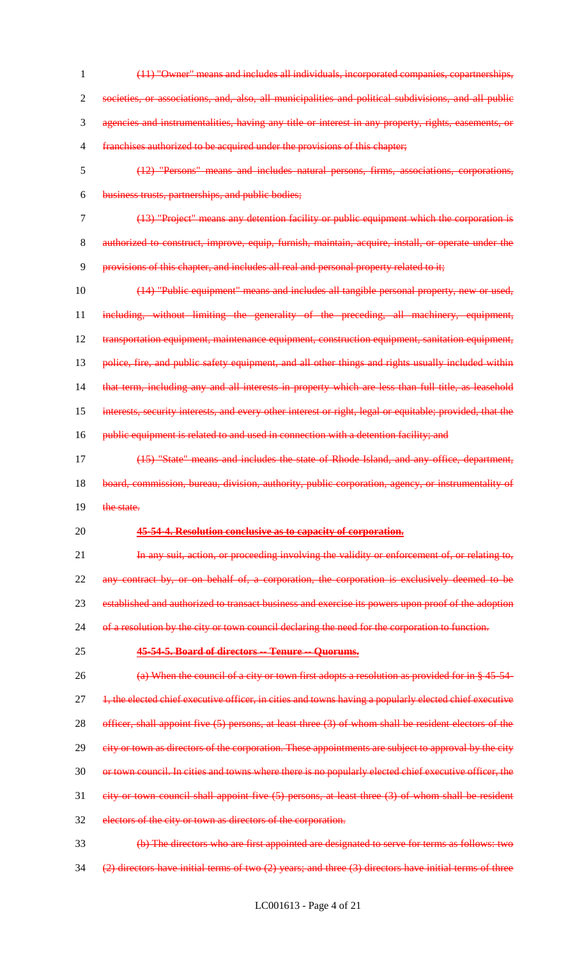- 1 (11) "Owner" means and includes all individuals, incorporated companies, copartnerships, 2 societies, or associations, and, also, all municipalities and political subdivisions, and all public 3 agencies and instrumentalities, having any title or interest in any property, rights, easements, or 4 franchises authorized to be acquired under the provisions of this chapter; 5 (12) "Persons" means and includes natural persons, firms, associations, corporations, 6 business trusts, partnerships, and public bodies; 7 (13) "Project" means any detention facility or public equipment which the corporation is 8 authorized to construct, improve, equip, furnish, maintain, acquire, install, or operate under the 9 provisions of this chapter, and includes all real and personal property related to it; 10 (14) "Public equipment" means and includes all tangible personal property, new or used, 11 including, without limiting the generality of the preceding, all machinery, equipment, 12 transportation equipment, maintenance equipment, construction equipment, sanitation equipment, 13 police, fire, and public safety equipment, and all other things and rights usually included within 14 that term, including any and all interests in property which are less than full title, as leasehold 15 interests, security interests, and every other interest or right, legal or equitable; provided, that the 16 public equipment is related to and used in connection with a detention facility; and 17 (15) "State" means and includes the state of Rhode Island, and any office, department, 18 board, commission, bureau, division, authority, public corporation, agency, or instrumentality of 19 the state. 20 **45-54-4. Resolution conclusive as to capacity of corporation.** 21 In any suit, action, or proceeding involving the validity or enforcement of, or relating to, 22 any contract by, or on behalf of, a corporation, the corporation is exclusively deemed to be 23 established and authorized to transact business and exercise its powers upon proof of the adoption 24 of a resolution by the city or town council declaring the need for the corporation to function. 25 **45-54-5. Board of directors -- Tenure -- Quorums.** 26 (a) When the council of a city or town first adopts a resolution as provided for in § 45-54-27 <del>1, the elected chief executive officer, in cities and towns having a popularly elected chief executive</del> 28 officer, shall appoint five (5) persons, at least three (3) of whom shall be resident electors of the 29 eity or town as directors of the corporation. These appointments are subject to approval by the city 30 or town council. In cities and towns where there is no popularly elected chief executive officer, the 31 city or town council shall appoint five (5) persons, at least three (3) of whom shall be resident 32 electors of the city or town as directors of the corporation. 33 (b) The directors who are first appointed are designated to serve for terms as follows: two
- 34  $(2)$  directors have initial terms of two  $(2)$  years; and three  $(3)$  directors have initial terms of three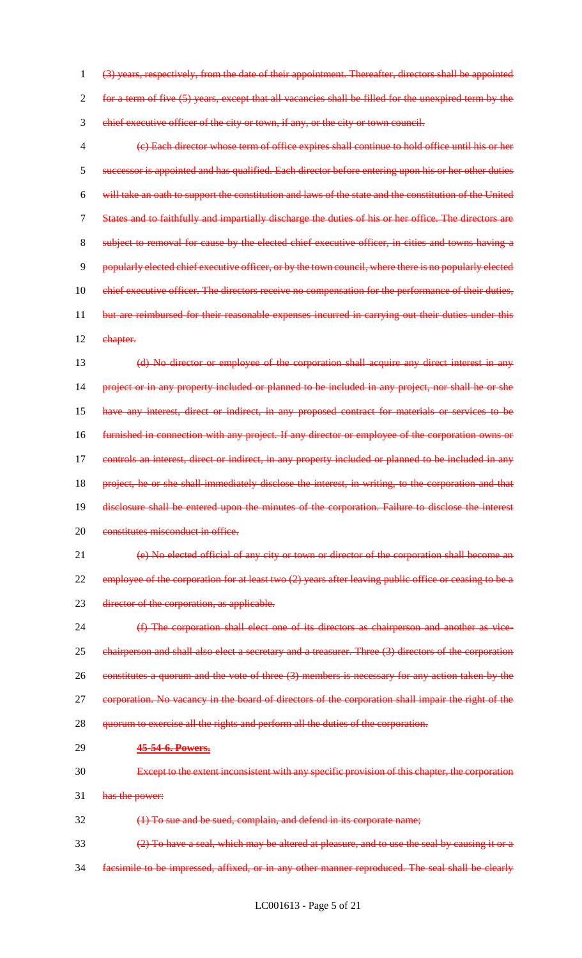(3) years, respectively, from the date of their appointment. Thereafter, directors shall be appointed for a term of five (5) years, except that all vacancies shall be filled for the unexpired term by the chief executive officer of the city or town, if any, or the city or town council.

 (c) Each director whose term of office expires shall continue to hold office until his or her successor is appointed and has qualified. Each director before entering upon his or her other duties will take an oath to support the constitution and laws of the state and the constitution of the United States and to faithfully and impartially discharge the duties of his or her office. The directors are subject to removal for cause by the elected chief executive officer, in cities and towns having a popularly elected chief executive officer, or by the town council, where there is no popularly elected 10 chief executive officer. The directors receive no compensation for the performance of their duties, 11 but are reimbursed for their reasonable expenses incurred in carrying out their duties under this 12 ehapter.

 (d) No director or employee of the corporation shall acquire any direct interest in any project or in any property included or planned to be included in any project, nor shall he or she have any interest, direct or indirect, in any proposed contract for materials or services to be furnished in connection with any project. If any director or employee of the corporation owns or controls an interest, direct or indirect, in any property included or planned to be included in any project, he or she shall immediately disclose the interest, in writing, to the corporation and that disclosure shall be entered upon the minutes of the corporation. Failure to disclose the interest 20 constitutes misconduct in office.

 (e) No elected official of any city or town or director of the corporation shall become an 22 employee of the corporation for at least two (2) years after leaving public office or ceasing to be a 23 director of the corporation, as applicable.

 (f) The corporation shall elect one of its directors as chairperson and another as vice- chairperson and shall also elect a secretary and a treasurer. Three (3) directors of the corporation 26 constitutes a quorum and the vote of three (3) members is necessary for any action taken by the corporation. No vacancy in the board of directors of the corporation shall impair the right of the 28 quorum to exercise all the rights and perform all the duties of the corporation.

#### **45-54-6. Powers.**

Except to the extent inconsistent with any specific provision of this chapter, the corporation

has the power:

(1) To sue and be sued, complain, and defend in its corporate name;

(2) To have a seal, which may be altered at pleasure, and to use the seal by causing it or a

facsimile to be impressed, affixed, or in any other manner reproduced. The seal shall be clearly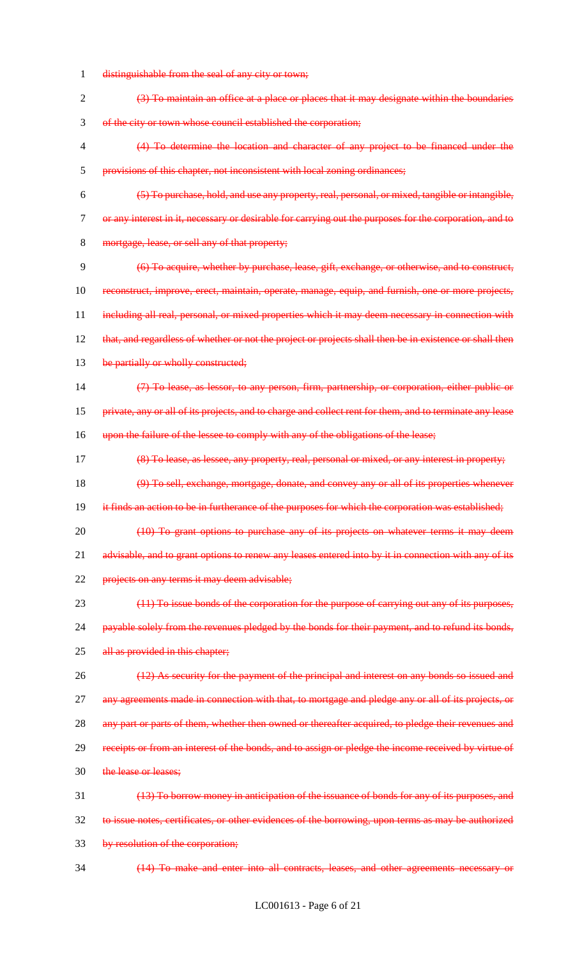- 1 distinguishable from the seal of any city or town;
- 2 (3) To maintain an office at a place or places that it may designate within the boundaries 3 of the city or town whose council established the corporation;
- 4 (4) To determine the location and character of any project to be financed under the 5 provisions of this chapter, not inconsistent with local zoning ordinances;
- 6 (5) To purchase, hold, and use any property, real, personal, or mixed, tangible or intangible, 7 or any interest in it, necessary or desirable for carrying out the purposes for the corporation, and to 8 mortgage, lease, or sell any of that property;
- 9 (6) To acquire, whether by purchase, lease, gift, exchange, or otherwise, and to construct, 10 reconstruct, improve, erect, maintain, operate, manage, equip, and furnish, one or more projects, 11 including all real, personal, or mixed properties which it may deem necessary in connection with 12 that, and regardless of whether or not the project or projects shall then be in existence or shall then 13 be partially or wholly constructed;
- 14 (7) To lease, as lessor, to any person, firm, partnership, or corporation, either public or
- 15 private, any or all of its projects, and to charge and collect rent for them, and to terminate any lease
- 16 upon the failure of the lessee to comply with any of the obligations of the lease;
- 17 (8) To lease, as lessee, any property, real, personal or mixed, or any interest in property;
- 18 (9) To sell, exchange, mortgage, donate, and convey any or all of its properties whenever
- 19 it finds an action to be in furtherance of the purposes for which the corporation was established;
- 20 (10) To grant options to purchase any of its projects on whatever terms it may deem 21 advisable, and to grant options to renew any leases entered into by it in connection with any of its 22 projects on any terms it may deem advisable;
- 23 (11) To issue bonds of the corporation for the purpose of carrying out any of its purposes, 24 payable solely from the revenues pledged by the bonds for their payment, and to refund its bonds, 25 all as provided in this chapter;
- 26 (12) As security for the payment of the principal and interest on any bonds so issued and 27 any agreements made in connection with that, to mortgage and pledge any or all of its projects, or 28 any part or parts of them, whether then owned or thereafter acquired, to pledge their revenues and 29 receipts or from an interest of the bonds, and to assign or pledge the income received by virtue of
- 30 the lease or leases;
- 31 (13) To borrow money in anticipation of the issuance of bonds for any of its purposes, and 32 to issue notes, certificates, or other evidences of the borrowing, upon terms as may be authorized 33 by resolution of the corporation;
- 34 (14) To make and enter into all contracts, leases, and other agreements necessary or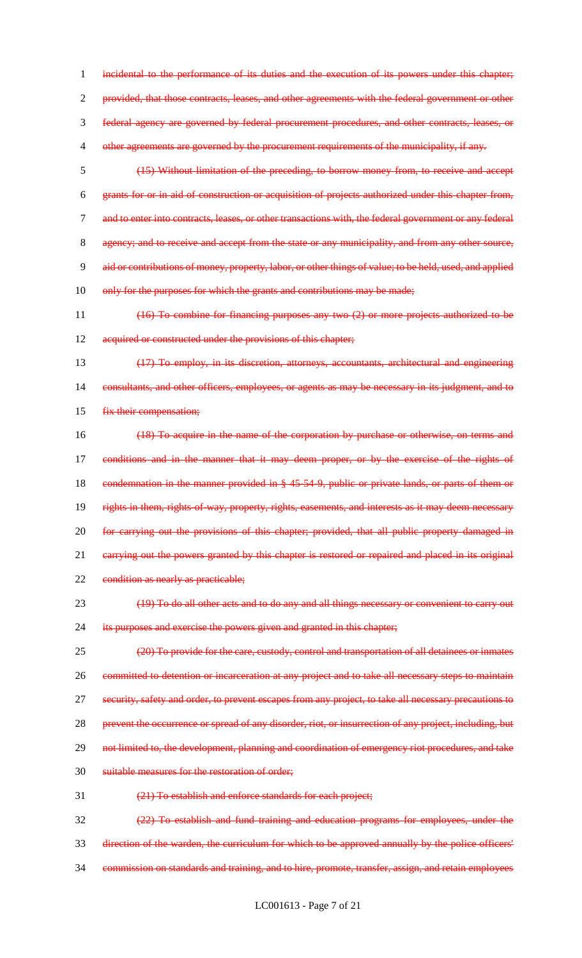1 incidental to the performance of its duties and the execution of its powers under this chapter; 2 provided, that those contracts, leases, and other agreements with the federal government or other 3 federal agency are governed by federal procurement procedures, and other contracts, leases, or 4 other agreements are governed by the procurement requirements of the municipality, if any. 5 (15) Without limitation of the preceding, to borrow money from, to receive and accept

6 grants for or in aid of construction or acquisition of projects authorized under this chapter from, 7 and to enter into contracts, leases, or other transactions with, the federal government or any federal 8 agency; and to receive and accept from the state or any municipality, and from any other source, 9 aid or contributions of money, property, labor, or other things of value; to be held, used, and applied 10 only for the purposes for which the grants and contributions may be made;

11 (16) To combine for financing purposes any two (2) or more projects authorized to be 12 acquired or constructed under the provisions of this chapter;

13 (17) To employ, in its discretion, attorneys, accountants, architectural and engineering 14 consultants, and other officers, employees, or agents as may be necessary in its judgment, and to 15 fix their compensation;

16 (18) To acquire in the name of the corporation by purchase or otherwise, on terms and 17 conditions and in the manner that it may deem proper, or by the exercise of the rights of 18 condemnation in the manner provided in § 45-54-9, public or private lands, or parts of them or 19 rights in them, rights-of-way, property, rights, easements, and interests as it may deem necessary 20 for carrying out the provisions of this chapter; provided, that all public property damaged in 21 carrying out the powers granted by this chapter is restored or repaired and placed in its original 22 condition as nearly as practicable;

23 (19) To do all other acts and to do any and all things necessary or convenient to carry out 24 its purposes and exercise the powers given and granted in this chapter;

25 (20) To provide for the care, custody, control and transportation of all detainees or inmates 26 committed to detention or incarceration at any project and to take all necessary steps to maintain 27 security, safety and order, to prevent escapes from any project, to take all necessary precautions to 28 prevent the occurrence or spread of any disorder, riot, or insurrection of any project, including, but 29 not limited to, the development, planning and coordination of emergency riot procedures, and take 30 suitable measures for the restoration of order;

31 (21) To establish and enforce standards for each project;

32 (22) To establish and fund training and education programs for employees, under the 33 direction of the warden, the curriculum for which to be approved annually by the police officers' 34 commission on standards and training, and to hire, promote, transfer, assign, and retain employees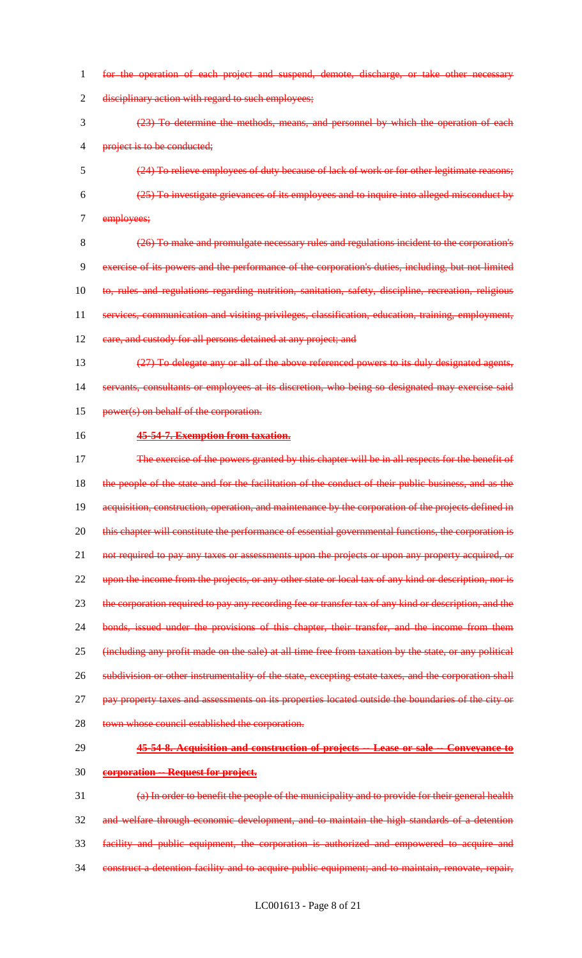- 1 for the operation of each project and suspend, demote, discharge, or take other necessary 2 disciplinary action with regard to such employees; 3 (23) To determine the methods, means, and personnel by which the operation of each 4 project is to be conducted; 5 (24) To relieve employees of duty because of lack of work or for other legitimate reasons; 6 (25) To investigate grievances of its employees and to inquire into alleged misconduct by 7 employees; 8 (26) To make and promulgate necessary rules and regulations incident to the corporation's 9 exercise of its powers and the performance of the corporation's duties, including, but not limited 10 to, rules and regulations regarding nutrition, sanitation, safety, discipline, recreation, religious 11 services, communication and visiting privileges, classification, education, training, employment, 12 eare, and custody for all persons detained at any project; and 13 (27) To delegate any or all of the above referenced powers to its duly designated agents, 14 servants, consultants or employees at its discretion, who being so designated may exercise said 15 power(s) on behalf of the corporation. 16 **45-54-7. Exemption from taxation.** 17 The exercise of the powers granted by this chapter will be in all respects for the benefit of 18 the people of the state and for the facilitation of the conduct of their public business, and as the 19 acquisition, construction, operation, and maintenance by the corporation of the projects defined in 20 this chapter will constitute the performance of essential governmental functions, the corporation is 21 not required to pay any taxes or assessments upon the projects or upon any property acquired, or 22 upon the income from the projects, or any other state or local tax of any kind or description, nor is 23 the corporation required to pay any recording fee or transfer tax of any kind or description, and the 24 bonds, issued under the provisions of this chapter, their transfer, and the income from them 25 (including any profit made on the sale) at all time free from taxation by the state, or any political 26 subdivision or other instrumentality of the state, excepting estate taxes, and the corporation shall 27 pay property taxes and assessments on its properties located outside the boundaries of the city or 28 town whose council established the corporation. 29 **45-54-8. Acquisition and construction of projects -- Lease or sale -- Conveyance to**  30 **corporation -- Request for project.** 31 (a) In order to benefit the people of the municipality and to provide for their general health 32 and welfare through economic development, and to maintain the high standards of a detention 33 facility and public equipment, the corporation is authorized and empowered to acquire and
- 34 construct a detention facility and to acquire public equipment; and to maintain, renovate, repair,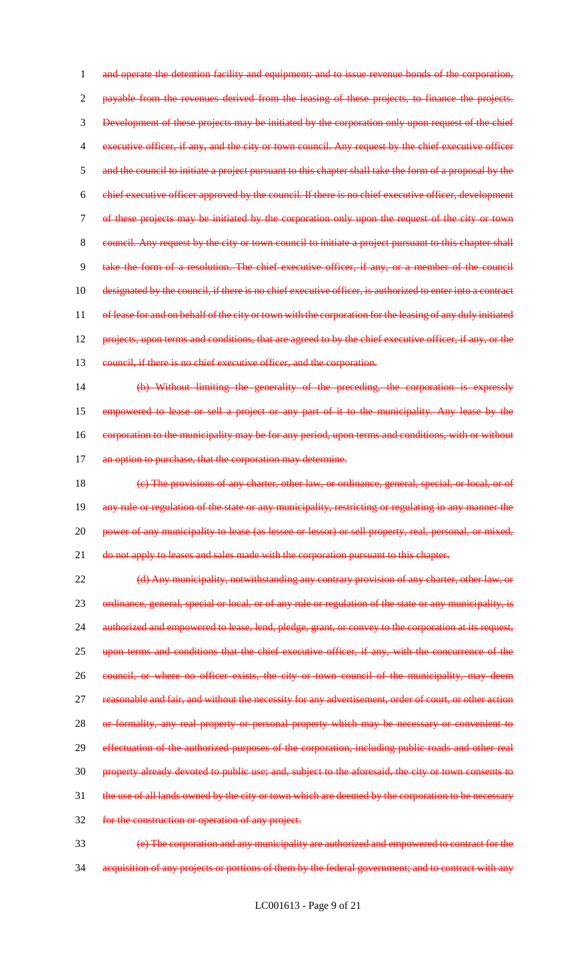and operate the detention facility and equipment; and to issue revenue bonds of the corporation, payable from the revenues derived from the leasing of these projects, to finance the projects. Development of these projects may be initiated by the corporation only upon request of the chief executive officer, if any, and the city or town council. Any request by the chief executive officer 5 and the council to initiate a project pursuant to this chapter shall take the form of a proposal by the chief executive officer approved by the council. If there is no chief executive officer, development of these projects may be initiated by the corporation only upon the request of the city or town council. Any request by the city or town council to initiate a project pursuant to this chapter shall take the form of a resolution. The chief executive officer, if any, or a member of the council 10 designated by the council, if there is no chief executive officer, is authorized to enter into a contract 11 of lease for and on behalf of the city or town with the corporation for the leasing of any duly initiated 12 projects, upon terms and conditions, that are agreed to by the chief executive officer, if any, or the 13 council, if there is no chief executive officer, and the corporation. (b) Without limiting the generality of the preceding, the corporation is expressly

15 empowered to lease or sell a project or any part of it to the municipality. Any lease by the 16 corporation to the municipality may be for any period, upon terms and conditions, with or without 17 an option to purchase, that the corporation may determine.

18 (c) The provisions of any charter, other law, or ordinance, general, special, or local, or of 19 any rule or regulation of the state or any municipality, restricting or regulating in any manner the 20 power of any municipality to lease (as lessee or lessor) or sell property, real, personal, or mixed, 21 do not apply to leases and sales made with the corporation pursuant to this chapter.

22 (d) Any municipality, notwithstanding any contrary provision of any charter, other law, or 23 ordinance, general, special or local, or of any rule or regulation of the state or any municipality, is 24 authorized and empowered to lease, lend, pledge, grant, or convey to the corporation at its request, 25 upon terms and conditions that the chief executive officer, if any, with the concurrence of the 26 council, or where no officer exists, the city or town council of the municipality, may deem 27 reasonable and fair, and without the necessity for any advertisement, order of court, or other action 28 or formality, any real property or personal property which may be necessary or convenient to 29 effectuation of the authorized purposes of the corporation, including public roads and other real 30 property already devoted to public use; and, subject to the aforesaid, the city or town consents to 31 the use of all lands owned by the city or town which are deemed by the corporation to be necessary 32 for the construction or operation of any project.

33 (e) The corporation and any municipality are authorized and empowered to contract for the 34 acquisition of any projects or portions of them by the federal government; and to contract with any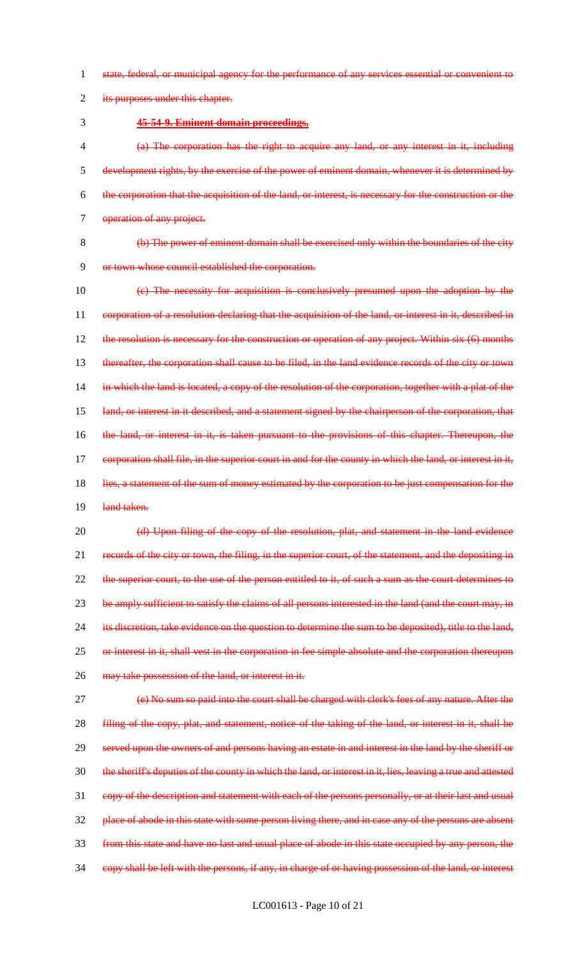1 state, federal, or municipal agency for the performance of any services essential or convenient to

2 its purposes under this chapter.

3 **45-54-9. Eminent domain proceedings.**

 (a) The corporation has the right to acquire any land, or any interest in it, including development rights, by the exercise of the power of eminent domain, whenever it is determined by the corporation that the acquisition of the land, or interest, is necessary for the construction or the 7 operation of any project.

8 (b) The power of eminent domain shall be exercised only within the boundaries of the city 9 or town whose council established the corporation.

10 (c) The necessity for acquisition is conclusively presumed upon the adoption by the 11 corporation of a resolution declaring that the acquisition of the land, or interest in it, described in 12 the resolution is necessary for the construction or operation of any project. Within six (6) months 13 thereafter, the corporation shall cause to be filed, in the land evidence records of the city or town 14 in which the land is located, a copy of the resolution of the corporation, together with a plat of the 15 land, or interest in it described, and a statement signed by the chairperson of the corporation, that 16 the land, or interest in it, is taken pursuant to the provisions of this chapter. Thereupon, the 17 eorporation shall file, in the superior court in and for the county in which the land, or interest in it, 18 lies, a statement of the sum of money estimated by the corporation to be just compensation for the 19 land taken.

20 (d) Upon filing of the copy of the resolution, plat, and statement in the land evidence 21 records of the city or town, the filing, in the superior court, of the statement, and the depositing in 22 the superior court, to the use of the person entitled to it, of such a sum as the court determines to 23 be amply sufficient to satisfy the claims of all persons interested in the land (and the court may, in 24 its discretion, take evidence on the question to determine the sum to be deposited), title to the land, 25 or interest in it, shall vest in the corporation in fee simple absolute and the corporation thereupon 26 may take possession of the land, or interest in it.

27 (e) No sum so paid into the court shall be charged with clerk's fees of any nature. After the 28 filing of the copy, plat, and statement, notice of the taking of the land, or interest in it, shall be served upon the owners of and persons having an estate in and interest in the land by the sheriff or the sheriff's deputies of the county in which the land, or interest in it, lies, leaving a true and attested copy of the description and statement with each of the persons personally, or at their last and usual 32 place of abode in this state with some person living there, and in case any of the persons are absent from this state and have no last and usual place of abode in this state occupied by any person, the copy shall be left with the persons, if any, in charge of or having possession of the land, or interest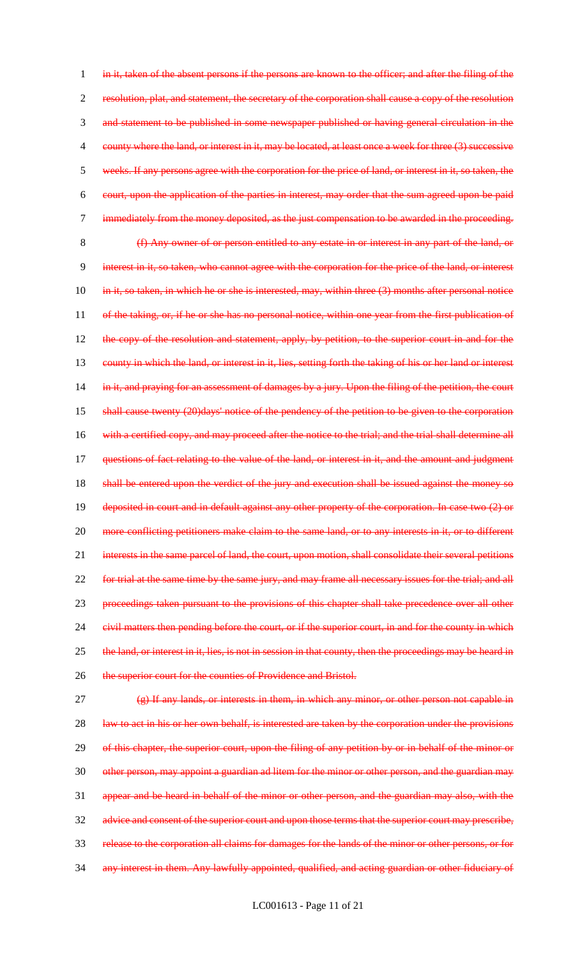1 in it, taken of the absent persons if the persons are known to the officer; and after the filing of the 2 resolution, plat, and statement, the secretary of the corporation shall cause a copy of the resolution 3 and statement to be published in some newspaper published or having general circulation in the 4 county where the land, or interest in it, may be located, at least once a week for three (3) successive 5 weeks. If any persons agree with the corporation for the price of land, or interest in it, so taken, the 6 court, upon the application of the parties in interest, may order that the sum agreed upon be paid 7 immediately from the money deposited, as the just compensation to be awarded in the proceeding. 8 (f) Any owner of or person entitled to any estate in or interest in any part of the land, or 9 interest in it, so taken, who cannot agree with the corporation for the price of the land, or interest 10 in it, so taken, in which he or she is interested, may, within three (3) months after personal notice 11 of the taking, or, if he or she has no personal notice, within one year from the first publication of 12 the copy of the resolution and statement, apply, by petition, to the superior court in and for the 13 county in which the land, or interest in it, lies, setting forth the taking of his or her land or interest 14 in it, and praying for an assessment of damages by a jury. Upon the filing of the petition, the court 15 shall cause twenty (20)days' notice of the pendency of the petition to be given to the corporation 16 with a certified copy, and may proceed after the notice to the trial; and the trial shall determine all 17 questions of fact relating to the value of the land, or interest in it, and the amount and judgment 18 shall be entered upon the verdict of the jury and execution shall be issued against the money so 19 deposited in court and in default against any other property of the corporation. In case two (2) or 20 more conflicting petitioners make claim to the same land, or to any interests in it, or to different 21 interests in the same parcel of land, the court, upon motion, shall consolidate their several petitions 22 for trial at the same time by the same jury, and may frame all necessary issues for the trial; and all 23 proceedings taken pursuant to the provisions of this chapter shall take precedence over all other 24 civil matters then pending before the court, or if the superior court, in and for the county in which 25 the land, or interest in it, lies, is not in session in that county, then the proceedings may be heard in 26 the superior court for the counties of Providence and Bristol. 27 (e) If any lands, or interests in them, in which any minor, or other person not capable in 28 law to act in his or her own behalf, is interested are taken by the corporation under the provisions 29 of this chapter, the superior court, upon the filing of any petition by or in behalf of the minor or 30 other person, may appoint a guardian ad litem for the minor or other person, and the guardian may 31 appear and be heard in behalf of the minor or other person, and the guardian may also, with the 32 advice and consent of the superior court and upon those terms that the superior court may prescribe, 33 release to the corporation all claims for damages for the lands of the minor or other persons, or for

34 any interest in them. Any lawfully appointed, qualified, and acting guardian or other fiduciary of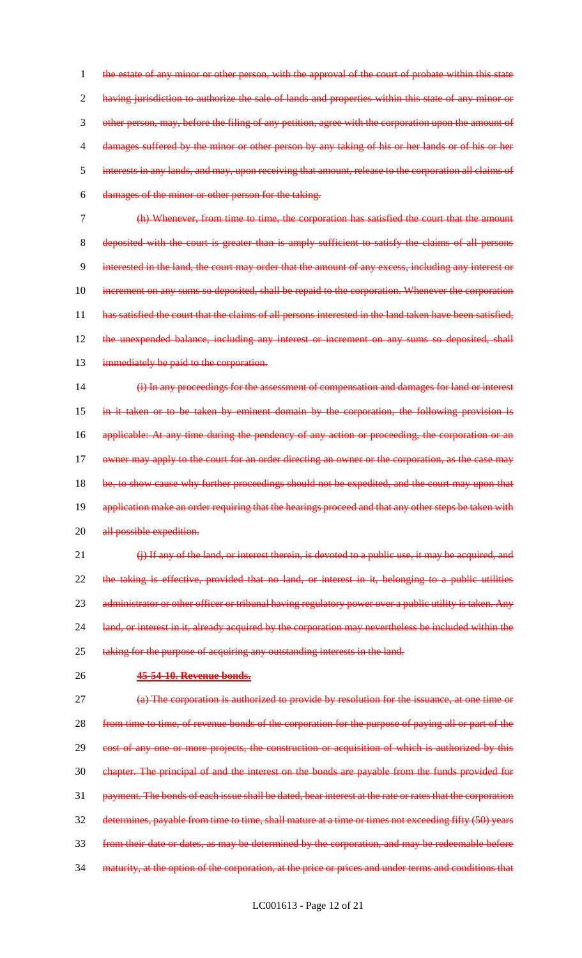1 the estate of any minor or other person, with the approval of the court of probate within this state 2 having jurisdiction to authorize the sale of lands and properties within this state of any minor or other person, may, before the filing of any petition, agree with the corporation upon the amount of damages suffered by the minor or other person by any taking of his or her lands or of his or her interests in any lands, and may, upon receiving that amount, release to the corporation all claims of damages of the minor or other person for the taking.

7 (h) Whenever, from time to time, the corporation has satisfied the court that the amount 8 deposited with the court is greater than is amply sufficient to satisfy the claims of all persons 9 interested in the land, the court may order that the amount of any excess, including any interest or 10 increment on any sums so deposited, shall be repaid to the corporation. Whenever the corporation 11 has satisfied the court that the claims of all persons interested in the land taken have been satisfied, 12 the unexpended balance, including any interest or increment on any sums so deposited, shall 13 immediately be paid to the corporation.

14 (i) In any proceedings for the assessment of compensation and damages for land or interest 15 in it taken or to be taken by eminent domain by the corporation, the following provision is 16 applicable: At any time during the pendency of any action or proceeding, the corporation or an 17 owner may apply to the court for an order directing an owner or the corporation, as the case may 18 be, to show cause why further proceedings should not be expedited, and the court may upon that 19 application make an order requiring that the hearings proceed and that any other steps be taken with 20 all possible expedition.

21 (i) If any of the land, or interest therein, is devoted to a public use, it may be acquired, and 22 the taking is effective, provided that no land, or interest in it, belonging to a public utilities 23 administrator or other officer or tribunal having regulatory power over a public utility is taken. Any 24 land, or interest in it, already acquired by the corporation may nevertheless be included within the 25 taking for the purpose of acquiring any outstanding interests in the land.

## 26 **45-54-10. Revenue bonds.**

 (a) The corporation is authorized to provide by resolution for the issuance, at one time or from time to time, of revenue bonds of the corporation for the purpose of paying all or part of the cost of any one or more projects, the construction or acquisition of which is authorized by this chapter. The principal of and the interest on the bonds are payable from the funds provided for 31 payment. The bonds of each issue shall be dated, bear interest at the rate or rates that the corporation determines, payable from time to time, shall mature at a time or times not exceeding fifty (50) years from their date or dates, as may be determined by the corporation, and may be redeemable before 34 maturity, at the option of the corporation, at the price or prices and under terms and conditions that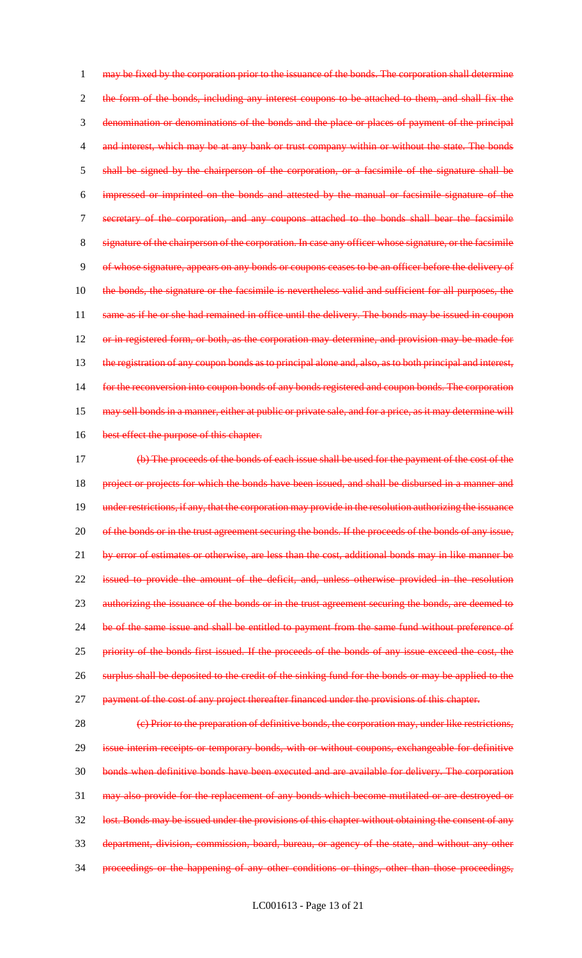may be fixed by the corporation prior to the issuance of the bonds. The corporation shall determine 2 the form of the bonds, including any interest coupons to be attached to them, and shall fix the denomination or denominations of the bonds and the place or places of payment of the principal 4 and interest, which may be at any bank or trust company within or without the state. The bonds shall be signed by the chairperson of the corporation, or a facsimile of the signature shall be impressed or imprinted on the bonds and attested by the manual or facsimile signature of the secretary of the corporation, and any coupons attached to the bonds shall bear the facsimile signature of the chairperson of the corporation. In case any officer whose signature, or the facsimile of whose signature, appears on any bonds or coupons ceases to be an officer before the delivery of the bonds, the signature or the facsimile is nevertheless valid and sufficient for all purposes, the 11 same as if he or she had remained in office until the delivery. The bonds may be issued in coupon or in registered form, or both, as the corporation may determine, and provision may be made for 13 the registration of any coupon bonds as to principal alone and, also, as to both principal and interest, for the reconversion into coupon bonds of any bonds registered and coupon bonds. The corporation 15 may sell bonds in a manner, either at public or private sale, and for a price, as it may determine will 16 best effect the purpose of this chapter. (b) The proceeds of the bonds of each issue shall be used for the payment of the cost of the

18 project or projects for which the bonds have been issued, and shall be disbursed in a manner and 19 under restrictions, if any, that the corporation may provide in the resolution authorizing the issuance 20 of the bonds or in the trust agreement securing the bonds. If the proceeds of the bonds of any issue, 21 by error of estimates or otherwise, are less than the cost, additional bonds may in like manner be 22 issued to provide the amount of the deficit, and, unless otherwise provided in the resolution 23 authorizing the issuance of the bonds or in the trust agreement securing the bonds, are deemed to 24 be of the same issue and shall be entitled to payment from the same fund without preference of 25 priority of the bonds first issued. If the proceeds of the bonds of any issue exceed the cost, the 26 surplus shall be deposited to the credit of the sinking fund for the bonds or may be applied to the 27 payment of the cost of any project thereafter financed under the provisions of this chapter.

28 (e) Prior to the preparation of definitive bonds, the corporation may, under like restrictions, 29 issue interim receipts or temporary bonds, with or without coupons, exchangeable for definitive 30 bonds when definitive bonds have been executed and are available for delivery. The corporation 31 may also provide for the replacement of any bonds which become mutilated or are destroyed or 32 lost. Bonds may be issued under the provisions of this chapter without obtaining the consent of any 33 department, division, commission, board, bureau, or agency of the state, and without any other 34 proceedings or the happening of any other conditions or things, other than those proceedings,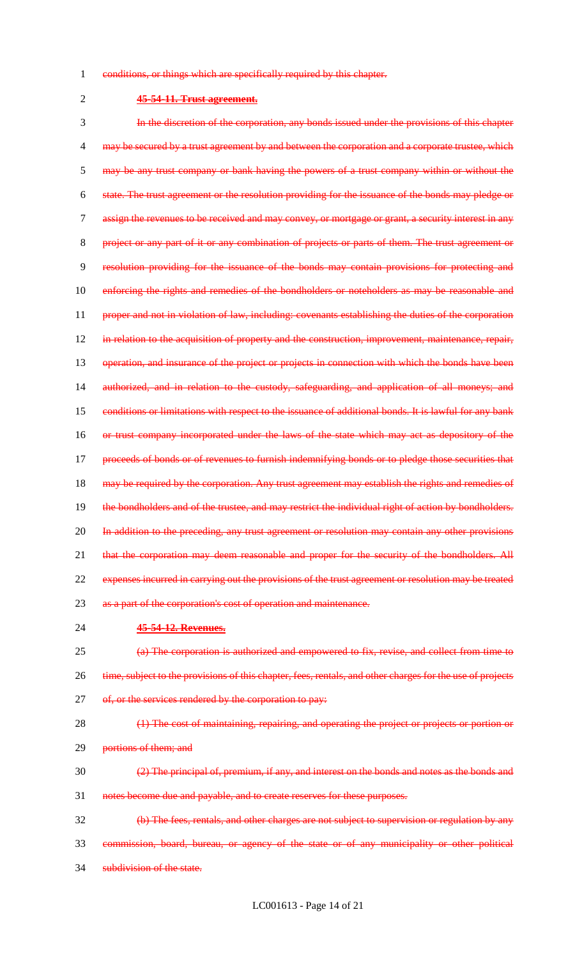- 1 conditions, or things which are specifically required by this chapter.
- 

# 2 **45-54-11. Trust agreement.**

3 In the discretion of the corporation, any bonds issued under the provisions of this chapter 4 may be secured by a trust agreement by and between the corporation and a corporate trustee, which 5 may be any trust company or bank having the powers of a trust company within or without the 6 state. The trust agreement or the resolution providing for the issuance of the bonds may pledge or 7 assign the revenues to be received and may convey, or mortgage or grant, a security interest in any 8 project or any part of it or any combination of projects or parts of them. The trust agreement or 9 resolution providing for the issuance of the bonds may contain provisions for protecting and 10 enforcing the rights and remedies of the bondholders or noteholders as may be reasonable and 11 proper and not in violation of law, including: covenants establishing the duties of the corporation 12 in relation to the acquisition of property and the construction, improvement, maintenance, repair, 13 operation, and insurance of the project or projects in connection with which the bonds have been 14 authorized, and in relation to the custody, safeguarding, and application of all moneys; and 15 conditions or limitations with respect to the issuance of additional bonds. It is lawful for any bank 16 or trust company incorporated under the laws of the state which may act as depository of the 17 proceeds of bonds or of revenues to furnish indemnifying bonds or to pledge those securities that 18 may be required by the corporation. Any trust agreement may establish the rights and remedies of 19 the bondholders and of the trustee, and may restrict the individual right of action by bondholders. 20 In addition to the preceding, any trust agreement or resolution may contain any other provisions 21 that the corporation may deem reasonable and proper for the security of the bondholders. All 22 expenses incurred in carrying out the provisions of the trust agreement or resolution may be treated 23 as a part of the corporation's cost of operation and maintenance. 24 **45-54-12. Revenues.** 25 (a) The corporation is authorized and empowered to fix, revise, and collect from time to

- 26 time, subject to the provisions of this chapter, fees, rentals, and other charges for the use of projects 27 of, or the services rendered by the corporation to pay:
- 28 (1) The cost of maintaining, repairing, and operating the project or projects or portion or 29 portions of them; and
- $\frac{2}{2}$  The principal of, premium, if any, and interest on the bonds and notes as the bonds and 31 notes become due and payable, and to create reserves for these purposes.
- 32 (b) The fees, rentals, and other charges are not subject to supervision or regulation by any 33 commission, board, bureau, or agency of the state or of any municipality or other political
- 34 subdivision of the state.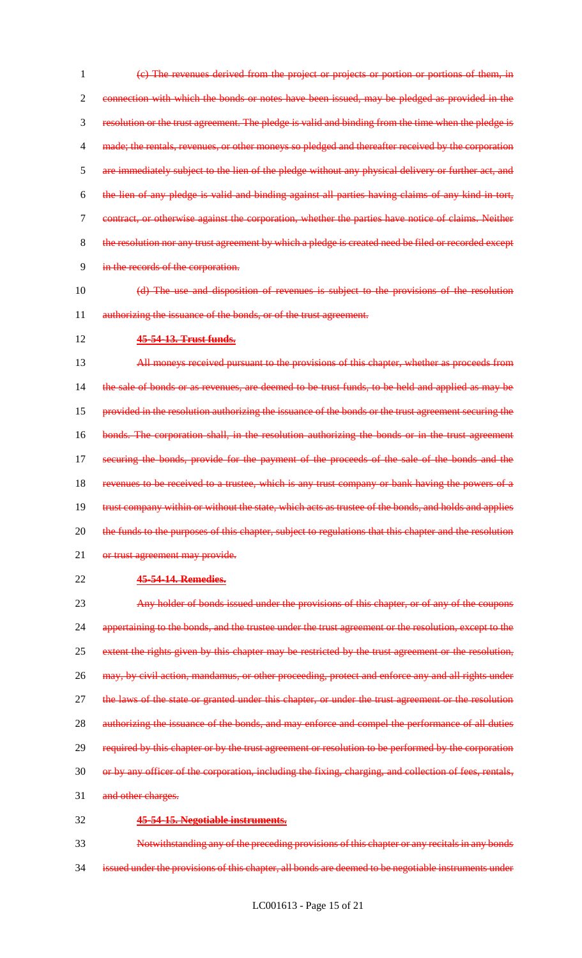(c) The revenues derived from the project or projects or portion or portions of them, in connection with which the bonds or notes have been issued, may be pledged as provided in the resolution or the trust agreement. The pledge is valid and binding from the time when the pledge is 4 made; the rentals, revenues, or other moneys so pledged and thereafter received by the corporation are immediately subject to the lien of the pledge without any physical delivery or further act, and the lien of any pledge is valid and binding against all parties having claims of any kind in tort, contract, or otherwise against the corporation, whether the parties have notice of claims. Neither 8 the resolution nor any trust agreement by which a pledge is created need be filed or recorded except in the records of the corporation.

- 10 (d) The use and disposition of revenues is subject to the provisions of the resolution 11 authorizing the issuance of the bonds, or of the trust agreement.
- 12 **45-54-13. Trust funds.**

13 All moneys received pursuant to the provisions of this chapter, whether as proceeds from 14 the sale of bonds or as revenues, are deemed to be trust funds, to be held and applied as may be 15 provided in the resolution authorizing the issuance of the bonds or the trust agreement securing the 16 bonds. The corporation shall, in the resolution authorizing the bonds or in the trust agreement 17 securing the bonds, provide for the payment of the proceeds of the sale of the bonds and the 18 revenues to be received to a trustee, which is any trust company or bank having the powers of a 19 trust company within or without the state, which acts as trustee of the bonds, and holds and applies 20 the funds to the purposes of this chapter, subject to regulations that this chapter and the resolution 21 or trust agreement may provide.

22 **45-54-14. Remedies.**

23 Any holder of bonds issued under the provisions of this chapter, or of any of the coupons 24 appertaining to the bonds, and the trustee under the trust agreement or the resolution, except to the 25 extent the rights given by this chapter may be restricted by the trust agreement or the resolution, 26 may, by civil action, mandamus, or other proceeding, protect and enforce any and all rights under 27 the laws of the state or granted under this chapter, or under the trust agreement or the resolution 28 authorizing the issuance of the bonds, and may enforce and compel the performance of all duties 29 required by this chapter or by the trust agreement or resolution to be performed by the corporation 30 or by any officer of the corporation, including the fixing, charging, and collection of fees, rentals, 31 and other charges. 32 **45-54-15. Negotiable instruments.**

33 Notwithstanding any of the preceding provisions of this chapter or any recitals in any bonds 34 issued under the provisions of this chapter, all bonds are deemed to be negotiable instruments under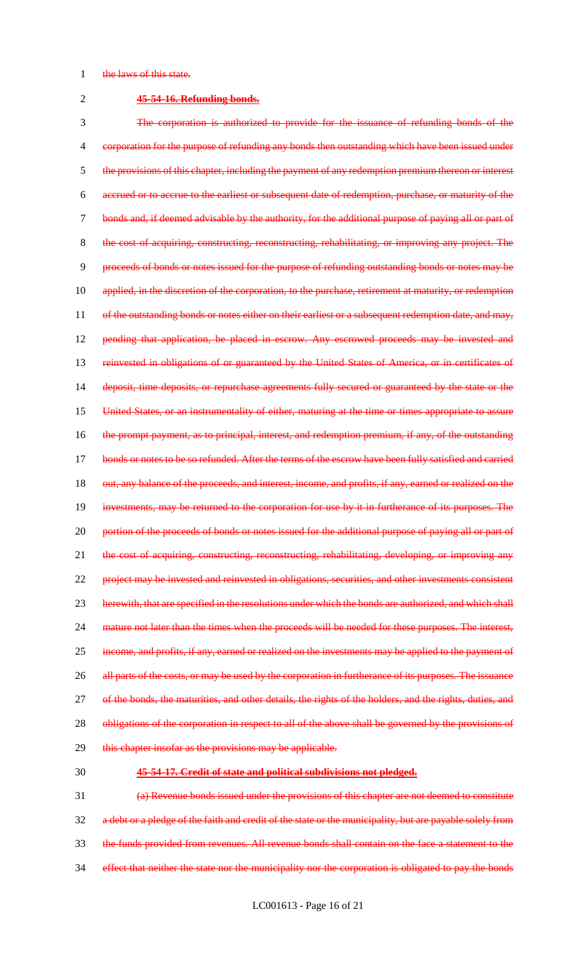#### 1 the laws of this state.

#### 2 **45-54-16. Refunding bonds.**

3 The corporation is authorized to provide for the issuance of refunding bonds of the 4 corporation for the purpose of refunding any bonds then outstanding which have been issued under 5 the provisions of this chapter, including the payment of any redemption premium thereon or interest 6 accrued or to accrue to the earliest or subsequent date of redemption, purchase, or maturity of the 7 bonds and, if deemed advisable by the authority, for the additional purpose of paying all or part of 8 the cost of acquiring, constructing, reconstructing, rehabilitating, or improving any project. The 9 proceeds of bonds or notes issued for the purpose of refunding outstanding bonds or notes may be 10 applied, in the discretion of the corporation, to the purchase, retirement at maturity, or redemption 11 of the outstanding bonds or notes either on their earliest or a subsequent redemption date, and may, 12 pending that application, be placed in escrow. Any escrowed proceeds may be invested and 13 reinvested in obligations of or guaranteed by the United States of America, or in certificates of 14 deposit, time deposits, or repurchase agreements fully secured or guaranteed by the state or the 15 United States, or an instrumentality of either, maturing at the time or times appropriate to assure 16 the prompt payment, as to principal, interest, and redemption premium, if any, of the outstanding 17 bonds or notes to be so refunded. After the terms of the escrow have been fully satisfied and carried 18 out, any balance of the proceeds, and interest, income, and profits, if any, earned or realized on the 19 investments, may be returned to the corporation for use by it in furtherance of its purposes. The 20 portion of the proceeds of bonds or notes issued for the additional purpose of paying all or part of 21 the cost of acquiring, constructing, reconstructing, rehabilitating, developing, or improving any 22 project may be invested and reinvested in obligations, securities, and other investments consistent 23 herewith, that are specified in the resolutions under which the bonds are authorized, and which shall 24 mature not later than the times when the proceeds will be needed for these purposes. The interest, 25 income, and profits, if any, earned or realized on the investments may be applied to the payment of 26 all parts of the costs, or may be used by the corporation in furtherance of its purposes. The issuance 27 of the bonds, the maturities, and other details, the rights of the holders, and the rights, duties, and 28 obligations of the corporation in respect to all of the above shall be governed by the provisions of 29 this chapter insofar as the provisions may be applicable.

#### 30 **45-54-17. Credit of state and political subdivisions not pledged.**

31 (a) Revenue bonds issued under the provisions of this chapter are not deemed to constitute 32 a debt or a pledge of the faith and credit of the state or the municipality, but are payable solely from 33 the funds provided from revenues. All revenue bonds shall contain on the face a statement to the 34 effect that neither the state nor the municipality nor the corporation is obligated to pay the bonds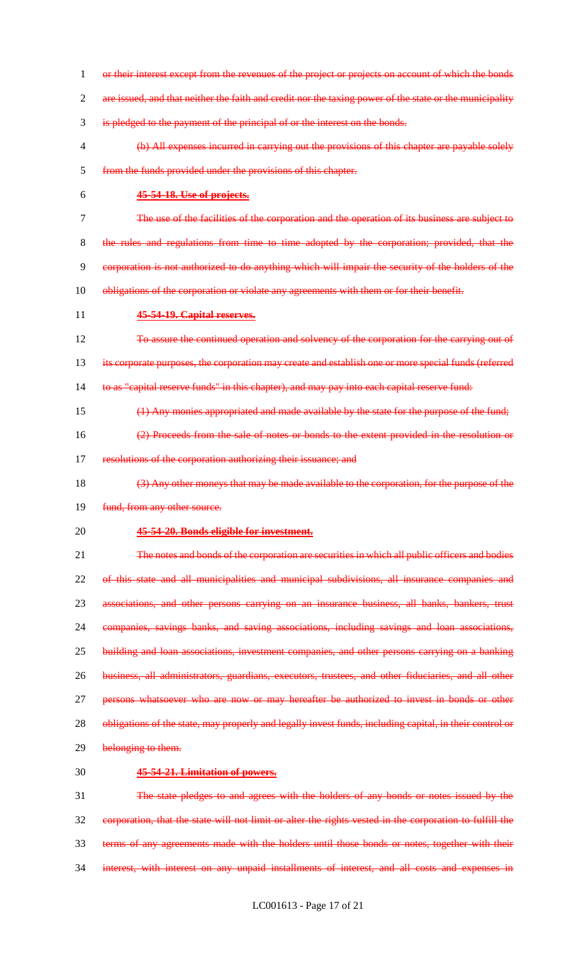1 or their interest except from the revenues of the project or projects on account of which the bonds 2 are issued, and that neither the faith and credit nor the taxing power of the state or the municipality is pledged to the payment of the principal of or the interest on the bonds. (b) All expenses incurred in carrying out the provisions of this chapter are payable solely from the funds provided under the provisions of this chapter. **45-54-18. Use of projects.** The use of the facilities of the corporation and the operation of its business are subject to the rules and regulations from time to time adopted by the corporation; provided, that the corporation is not authorized to do anything which will impair the security of the holders of the 10 obligations of the corporation or violate any agreements with them or for their benefit. **45-54-19. Capital reserves.** 12 To assure the continued operation and solvency of the corporation for the carrying out of its corporate purposes, the corporation may create and establish one or more special funds (referred 14 to as "capital reserve funds" in this chapter), and may pay into each capital reserve fund: (1) Any monies appropriated and made available by the state for the purpose of the fund; (2) Proceeds from the sale of notes or bonds to the extent provided in the resolution or 17 resolutions of the corporation authorizing their issuance; and (3) Any other moneys that may be made available to the corporation, for the purpose of the 19 fund, from any other source. **45-54-20. Bonds eligible for investment.** The notes and bonds of the corporation are securities in which all public officers and bodies of this state and all municipalities and municipal subdivisions, all insurance companies and associations, and other persons carrying on an insurance business, all banks, bankers, trust companies, savings banks, and saving associations, including savings and loan associations, building and loan associations, investment companies, and other persons carrying on a banking business, all administrators, guardians, executors, trustees, and other fiduciaries, and all other 27 persons whatsoever who are now or may hereafter be authorized to invest in bonds or other 28 obligations of the state, may properly and legally invest funds, including capital, in their control or 29 belonging to them. **45-54-21. Limitation of powers.** The state pledges to and agrees with the holders of any bonds or notes issued by the corporation, that the state will not limit or alter the rights vested in the corporation to fulfill the terms of any agreements made with the holders until those bonds or notes, together with their interest, with interest on any unpaid installments of interest, and all costs and expenses in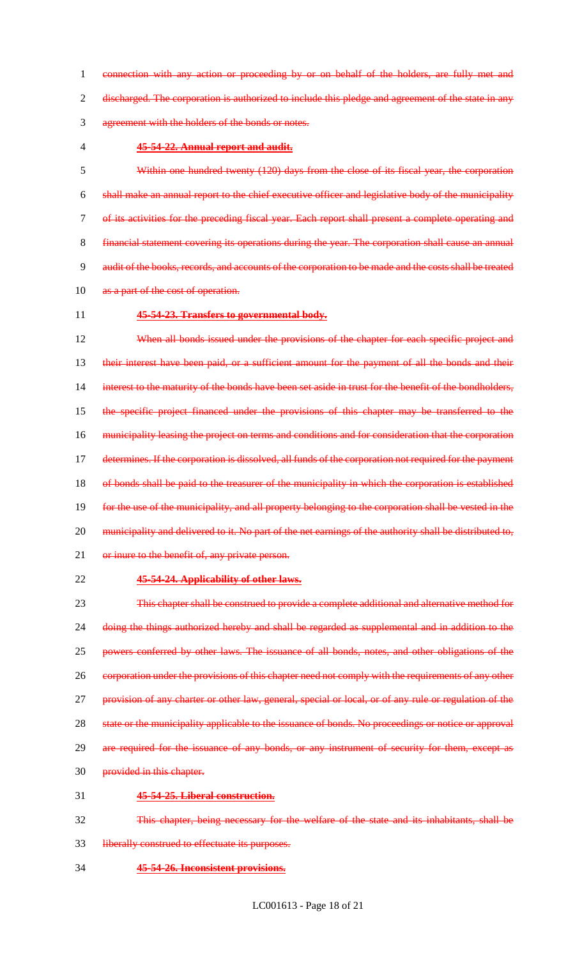connection with any action or proceeding by or on behalf of the holders, are fully met and discharged. The corporation is authorized to include this pledge and agreement of the state in any agreement with the holders of the bonds or notes.

### **45-54-22. Annual report and audit.**

 Within one hundred twenty (120) days from the close of its fiscal year, the corporation shall make an annual report to the chief executive officer and legislative body of the municipality of its activities for the preceding fiscal year. Each report shall present a complete operating and financial statement covering its operations during the year. The corporation shall cause an annual audit of the books, records, and accounts of the corporation to be made and the costs shall be treated 10 as a part of the cost of operation.

#### **45-54-23. Transfers to governmental body.**

12 When all bonds issued under the provisions of the chapter for each specific project and 13 their interest have been paid, or a sufficient amount for the payment of all the bonds and their 14 interest to the maturity of the bonds have been set aside in trust for the benefit of the bondholders, the specific project financed under the provisions of this chapter may be transferred to the municipality leasing the project on terms and conditions and for consideration that the corporation 17 determines. If the corporation is dissolved, all funds of the corporation not required for the payment 18 of bonds shall be paid to the treasurer of the municipality in which the corporation is established for the use of the municipality, and all property belonging to the corporation shall be vested in the 20 municipality and delivered to it. No part of the net earnings of the authority shall be distributed to, 21 or inure to the benefit of, any private person.

# **45-54-24. Applicability of other laws.**

 This chapter shall be construed to provide a complete additional and alternative method for doing the things authorized hereby and shall be regarded as supplemental and in addition to the powers conferred by other laws. The issuance of all bonds, notes, and other obligations of the 26 corporation under the provisions of this chapter need not comply with the requirements of any other 27 provision of any charter or other law, general, special or local, or of any rule or regulation of the state or the municipality applicable to the issuance of bonds. No proceedings or notice or approval 29 are required for the issuance of any bonds, or any instrument of security for them, except as provided in this chapter. **45-54-25. Liberal construction.**

- This chapter, being necessary for the welfare of the state and its inhabitants, shall be
- liberally construed to effectuate its purposes.
- **45-54-26. Inconsistent provisions.**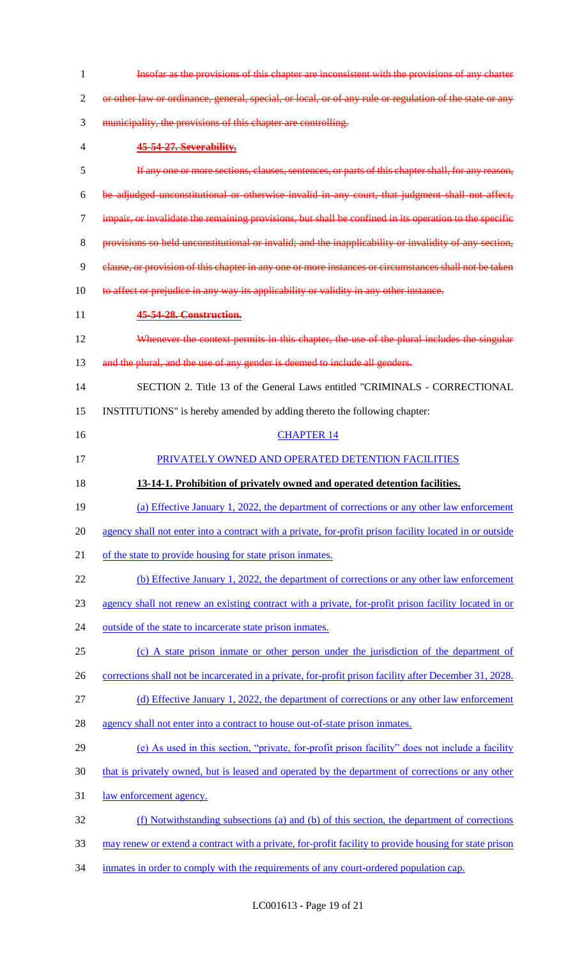| 1  | Insofar as the provisions of this chapter are inconsistent with the provisions of any charter           |
|----|---------------------------------------------------------------------------------------------------------|
| 2  | or other law or ordinance, general, special, or local, or of any rule or regulation of the state or any |
| 3  | municipality, the provisions of this chapter are controlling.                                           |
| 4  | 45-54-27. Severability.                                                                                 |
| 5  | If any one or more sections, clauses, sentences, or parts of this chapter shall, for any reason,        |
| 6  | be adjudged unconstitutional or otherwise invalid in any court, that judgment shall not affect,         |
| 7  | impair, or invalidate the remaining provisions, but shall be confined in its operation to the specific  |
| 8  | provisions so held unconstitutional or invalid; and the inapplicability or invalidity of any section,   |
| 9  | clause, or provision of this chapter in any one or more instances or circumstances shall not be taken   |
| 10 | to affect or prejudice in any way its applicability or validity in any other instance.                  |
| 11 | 45-54-28. Construction.                                                                                 |
| 12 | Whenever the context permits in this chapter, the use of the plural includes the singular               |
| 13 | and the plural, and the use of any gender is deemed to include all genders.                             |
| 14 | SECTION 2. Title 13 of the General Laws entitled "CRIMINALS - CORRECTIONAL                              |
| 15 | INSTITUTIONS" is hereby amended by adding thereto the following chapter:                                |
| 16 | <b>CHAPTER 14</b>                                                                                       |
| 17 | PRIVATELY OWNED AND OPERATED DETENTION FACILITIES                                                       |
|    |                                                                                                         |
| 18 | 13-14-1. Prohibition of privately owned and operated detention facilities.                              |
| 19 | (a) Effective January 1, 2022, the department of corrections or any other law enforcement               |
| 20 | agency shall not enter into a contract with a private, for-profit prison facility located in or outside |
| 21 | of the state to provide housing for state prison inmates.                                               |
| 22 | (b) Effective January 1, 2022, the department of corrections or any other law enforcement               |
| 23 | agency shall not renew an existing contract with a private, for-profit prison facility located in or    |
| 24 | outside of the state to incarcerate state prison inmates.                                               |
| 25 | (c) A state prison inmate or other person under the jurisdiction of the department of                   |
| 26 | corrections shall not be incarcerated in a private, for-profit prison facility after December 31, 2028. |
| 27 | (d) Effective January 1, 2022, the department of corrections or any other law enforcement               |
| 28 | agency shall not enter into a contract to house out-of-state prison inmates.                            |
| 29 | (e) As used in this section, "private, for-profit prison facility" does not include a facility          |
| 30 | that is privately owned, but is leased and operated by the department of corrections or any other       |
| 31 | law enforcement agency.                                                                                 |
| 32 | (f) Notwithstanding subsections (a) and (b) of this section, the department of corrections              |
| 33 | may renew or extend a contract with a private, for-profit facility to provide housing for state prison  |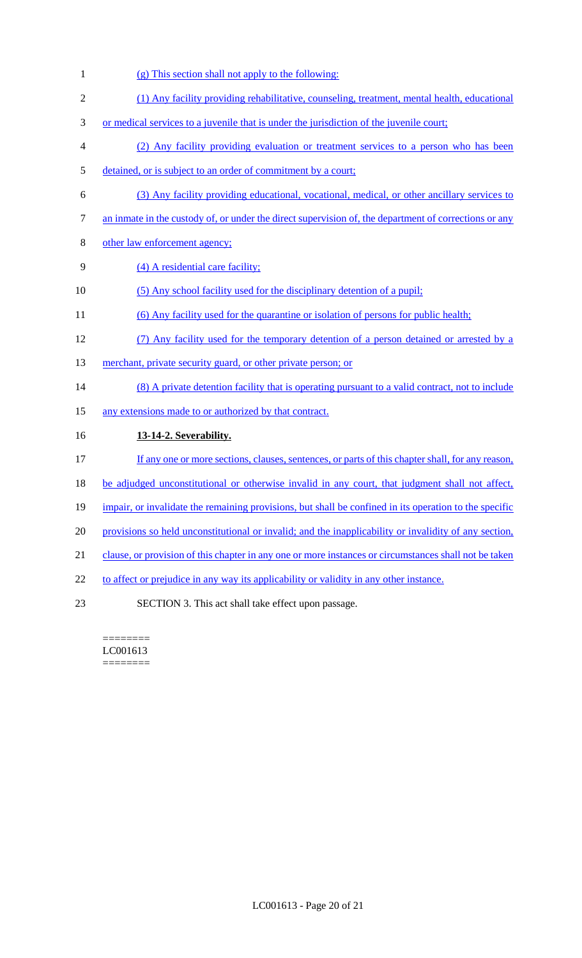- 1 (g) This section shall not apply to the following:
- 2 (1) Any facility providing rehabilitative, counseling, treatment, mental health, educational
- 3 or medical services to a juvenile that is under the jurisdiction of the juvenile court;
- 4 (2) Any facility providing evaluation or treatment services to a person who has been
- 5 detained, or is subject to an order of commitment by a court;
- 6 (3) Any facility providing educational, vocational, medical, or other ancillary services to
- 7 an inmate in the custody of, or under the direct supervision of, the department of corrections or any
- 8 other law enforcement agency;
- 9 (4) A residential care facility;
- 10 (5) Any school facility used for the disciplinary detention of a pupil;
- 11 (6) Any facility used for the quarantine or isolation of persons for public health;
- 12 (7) Any facility used for the temporary detention of a person detained or arrested by a
- 13 merchant, private security guard, or other private person; or
- 14 (8) A private detention facility that is operating pursuant to a valid contract, not to include
- 15 any extensions made to or authorized by that contract.
- 16 **13-14-2. Severability.**
- 17 If any one or more sections, clauses, sentences, or parts of this chapter shall, for any reason,
- 18 be adjudged unconstitutional or otherwise invalid in any court, that judgment shall not affect,
- 19 impair, or invalidate the remaining provisions, but shall be confined in its operation to the specific
- 20 provisions so held unconstitutional or invalid; and the inapplicability or invalidity of any section,
- 21 clause, or provision of this chapter in any one or more instances or circumstances shall not be taken
- 22 to affect or prejudice in any way its applicability or validity in any other instance.
- 23 SECTION 3. This act shall take effect upon passage.

======== LC001613 ========